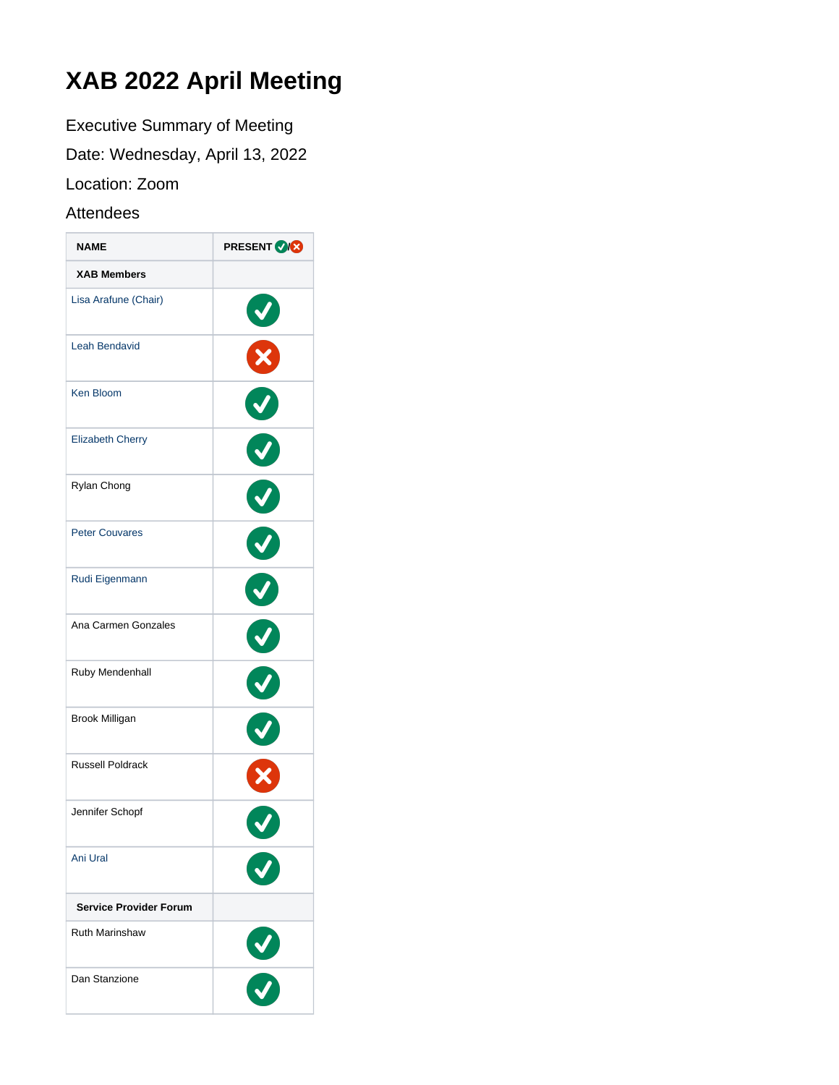# **XAB 2022 April Meeting**

Executive Summary of Meeting

Date: Wednesday, April 13, 2022

Location: Zoom

## Attendees

| <b>NAME</b>                   | <b>PRESENT ORG</b> |
|-------------------------------|--------------------|
| <b>XAB Members</b>            |                    |
| Lisa Arafune (Chair)          | $\blacklozenge$    |
| <b>Leah Bendavid</b>          | X                  |
| <b>Ken Bloom</b>              |                    |
| <b>Elizabeth Cherry</b>       | V                  |
| Rylan Chong                   | V                  |
| <b>Peter Couvares</b>         |                    |
| Rudi Eigenmann                | V                  |
| Ana Carmen Gonzales           | J                  |
| Ruby Mendenhall               | $\blacklozenge$    |
| Brook Milligan                |                    |
| <b>Russell Poldrack</b>       | X                  |
| Jennifer Schopf               |                    |
| Ani Ural                      |                    |
| <b>Service Provider Forum</b> |                    |
| <b>Ruth Marinshaw</b>         | $\frac{3}{2}$      |
| Dan Stanzione                 |                    |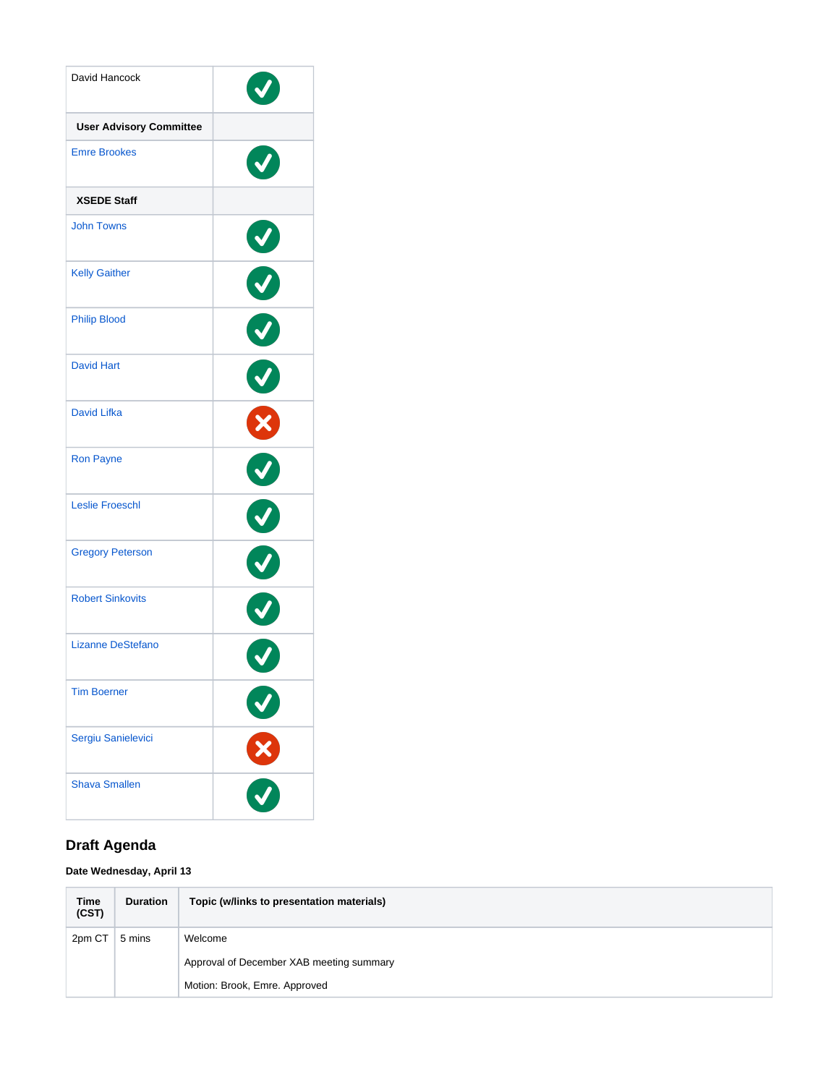| David Hancock                  |               |
|--------------------------------|---------------|
| <b>User Advisory Committee</b> |               |
| <b>Emre Brookes</b>            |               |
| <b>XSEDE Staff</b>             |               |
| <b>John Towns</b>              | $\bigcirc$    |
| <b>Kelly Gaither</b>           |               |
| <b>Philip Blood</b>            | O             |
| <b>David Hart</b>              | Ø             |
| <b>David Lifka</b>             | X             |
| <b>Ron Payne</b>               | V             |
| <b>Leslie Froeschl</b>         | V             |
| <b>Gregory Peterson</b>        |               |
| <b>Robert Sinkovits</b>        | Ó             |
| <b>Lizanne DeStefano</b>       |               |
| <b>Tim Boerner</b>             |               |
| Sergiu Sanielevici             | $\frac{8}{2}$ |
| <b>Shava Smallen</b>           |               |

## **Draft Agenda**

### **Date Wednesday, April 13**

| <b>Time</b><br>(CST) | <b>Duration</b> | Topic (w/links to presentation materials) |
|----------------------|-----------------|-------------------------------------------|
| 2pm CT               | 5 mins          | Welcome                                   |
|                      |                 | Approval of December XAB meeting summary  |
|                      |                 | Motion: Brook, Emre. Approved             |